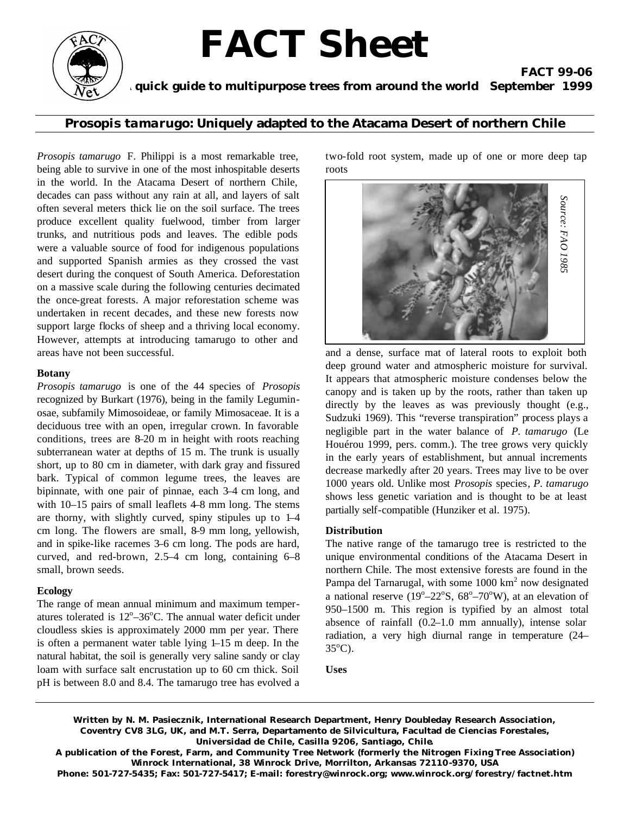# **FACT Sheet**



 **A quick guide to multipurpose trees from around the world September 1999**

*Prosopis tamarugo:* **Uniquely adapted to the Atacama Desert of northern Chile**

*Prosopis tamarugo* F. Philippi is a most remarkable tree, being able to survive in one of the most inhospitable deserts in the world. In the Atacama Desert of northern Chile, decades can pass without any rain at all, and layers of salt often several meters thick lie on the soil surface. The trees produce excellent quality fuelwood, timber from larger trunks, and nutritious pods and leaves. The edible pods were a valuable source of food for indigenous populations and supported Spanish armies as they crossed the vast desert during the conquest of South America. Deforestation on a massive scale during the following centuries decimated the once-great forests. A major reforestation scheme was undertaken in recent decades, and these new forests now support large flocks of sheep and a thriving local economy. However, attempts at introducing tamarugo to other and areas have not been successful.

#### **Botany**

*Prosopis tamarugo* is one of the 44 species of *Prosopis*  recognized by Burkart (1976), being in the family Leguminosae, subfamily Mimosoideae, or family Mimosaceae. It is a deciduous tree with an open, irregular crown. In favorable conditions, trees are 8–20 m in height with roots reaching subterranean water at depths of 15 m. The trunk is usually short, up to 80 cm in diameter, with dark gray and fissured bark. Typical of common legume trees, the leaves are bipinnate, with one pair of pinnae, each 3–4 cm long, and with 10–15 pairs of small leaflets 4–8 mm long. The stems are thorny, with slightly curved, spiny stipules up to 1–4 cm long. The flowers are small, 8–9 mm long, yellowish, and in spike-like racemes 3–6 cm long. The pods are hard, curved, and red-brown, 2.5–4 cm long, containing 6–8 small, brown seeds.

### **Ecology**

The range of mean annual minimum and maximum temperatures tolerated is  $12^{\circ}-36^{\circ}$ C. The annual water deficit under cloudless skies is approximately 2000 mm per year. There is often a permanent water table lying 1–15 m deep. In the natural habitat, the soil is generally very saline sandy or clay loam with surface salt encrustation up to 60 cm thick. Soil pH is between 8.0 and 8.4. The tamarugo tree has evolved a

two-fold root system, made up of one or more deep tap roots

**FACT 99-06**



and a dense, surface mat of lateral roots to exploit both deep ground water and atmospheric moisture for survival. It appears that atmospheric moisture condenses below the canopy and is taken up by the roots, rather than taken up directly by the leaves as was previously thought (e.g., Sudzuki 1969). This "reverse transpiration" process plays a negligible part in the water balance of *P. tamarugo* (Le Houérou 1999, pers. comm.). The tree grows very quickly in the early years of establishment, but annual increments decrease markedly after 20 years. Trees may live to be over 1000 years old. Unlike most *Prosopis* species*, P. tamarugo*  shows less genetic variation and is thought to be at least partially self-compatible (Hunziker et al. 1975).

#### **Distribution**

The native range of the tamarugo tree is restricted to the unique environmental conditions of the Atacama Desert in northern Chile. The most extensive forests are found in the Pampa del Tarnarugal, with some 1000 km<sup>2</sup> now designated a national reserve ( $19^{\circ}$ - $22^{\circ}$ S,  $68^{\circ}$ - $70^{\circ}$ W), at an elevation of 950–1500 m. This region is typified by an almost total absence of rainfall (0.2–1.0 mm annually), intense solar radiation, a very high diurnal range in temperature (24–  $35^{\circ}$ C).

**Uses**

**Written by N. M. Pasiecznik, International Research Department, Henry Doubleday Research Association, Coventry CV8 3LG, UK, and M.T. Serra, Departamento de Silvicultura, Facultad de Ciencias Forestales, Universidad de Chile, Casilla 9206, Santiago, Chile.**

**A publication of the Forest, Farm, and Community Tree Network (formerly the Nitrogen Fixing Tree Association) Winrock International, 38 Winrock Drive, Morrilton, Arkansas 72110-9370, USA** 

**Phone: 501-727-5435; Fax: 501-727-5417; E-mail: forestry@winrock.org; www.winrock.org/forestry/factnet.htm**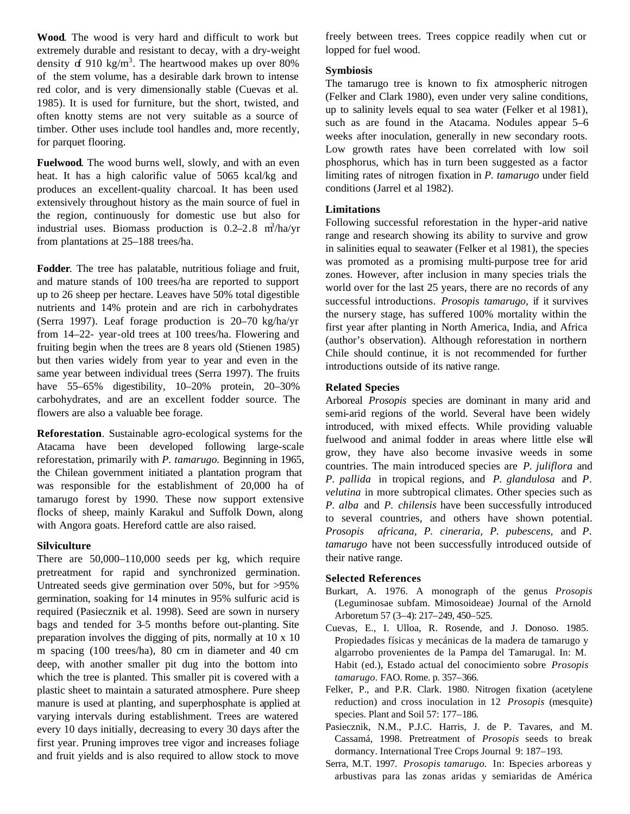**Wood**. The wood is very hard and difficult to work but extremely durable and resistant to decay, with a dry-weight density of 910 kg/m<sup>3</sup>. The heartwood makes up over 80% of the stem volume, has a desirable dark brown to intense red color, and is very dimensionally stable (Cuevas et al. 1985). It is used for furniture, but the short, twisted, and often knotty stems are not very suitable as a source of timber. Other uses include tool handles and, more recently, for parquet flooring.

**Fuelwood**. The wood burns well, slowly, and with an even heat. It has a high calorific value of 5065 kcal/kg and produces an excellent-quality charcoal. It has been used extensively throughout history as the main source of fuel in the region, continuously for domestic use but also for industrial uses. Biomass production is  $0.2-2.8$  m<sup>3</sup>/ha/yr from plantations at 25–188 trees/ha.

**Fodder**. The tree has palatable, nutritious foliage and fruit, and mature stands of 100 trees/ha are reported to support up to 26 sheep per hectare. Leaves have 50% total digestible nutrients and 14% protein and are rich in carbohydrates (Serra 1997). Leaf forage production is 20–70 kg/ha/yr from 14–22- year-old trees at 100 trees/ha. Flowering and fruiting begin when the trees are 8 years old (Stienen 1985) but then varies widely from year to year and even in the same year between individual trees (Serra 1997). The fruits have 55–65% digestibility, 10–20% protein, 20–30% carbohydrates, and are an excellent fodder source. The flowers are also a valuable bee forage.

**Reforestation**. Sustainable agro-ecological systems for the Atacama have been developed following large-scale reforestation, primarily with *P. tamarugo.* Beginning in 1965, the Chilean government initiated a plantation program that was responsible for the establishment of 20,000 ha of tamarugo forest by 1990. These now support extensive flocks of sheep, mainly Karakul and Suffolk Down, along with Angora goats. Hereford cattle are also raised.

#### **Silviculture**

There are 50,000–110,000 seeds per kg, which require pretreatment for rapid and synchronized germination. Untreated seeds give germination over 50%, but for >95% germination, soaking for 14 minutes in 95% sulfuric acid is required (Pasiecznik et al. 1998). Seed are sown in nursery bags and tended for 3–5 months before out-planting. Site preparation involves the digging of pits, normally at 10 x 10 m spacing (100 trees/ha), 80 cm in diameter and 40 cm deep, with another smaller pit dug into the bottom into which the tree is planted. This smaller pit is covered with a plastic sheet to maintain a saturated atmosphere. Pure sheep manure is used at planting, and superphosphate is applied at varying intervals during establishment. Trees are watered every 10 days initially, decreasing to every 30 days after the first year. Pruning improves tree vigor and increases foliage and fruit yields and is also required to allow stock to move

freely between trees. Trees coppice readily when cut or lopped for fuel wood.

#### **Symbiosis**

The tamarugo tree is known to fix atmospheric nitrogen (Felker and Clark 1980), even under very saline conditions, up to salinity levels equal to sea water (Felker et al 1981), such as are found in the Atacama. Nodules appear 5–6 weeks after inoculation, generally in new secondary roots. Low growth rates have been correlated with low soil phosphorus, which has in turn been suggested as a factor limiting rates of nitrogen fixation in *P. tamarugo* under field conditions (Jarrel et al 1982).

#### **Limitations**

Following successful reforestation in the hyper-arid native range and research showing its ability to survive and grow in salinities equal to seawater (Felker et al 1981), the species was promoted as a promising multi-purpose tree for arid zones. However, after inclusion in many species trials the world over for the last 25 years, there are no records of any successful introductions. *Prosopis tamarugo,* if it survives the nursery stage, has suffered 100% mortality within the first year after planting in North America, India, and Africa (author's observation). Although reforestation in northern Chile should continue, it is not recommended for further introductions outside of its native range.

#### **Related Species**

Arboreal *Prosopis* species are dominant in many arid and semi-arid regions of the world. Several have been widely introduced, with mixed effects. While providing valuable fuelwood and animal fodder in areas where little else will grow, they have also become invasive weeds in some countries. The main introduced species are *P. juliflora* and *P. pallida* in tropical regions, and *P. glandulosa* and *P. velutina* in more subtropical climates. Other species such as *P. alba* and *P. chilensis* have been successfully introduced to several countries, and others have shown potential. *Prosopis africana, P. cineraria, P. pubescens,* and *P. tamarugo* have not been successfully introduced outside of their native range.

#### **Selected References**

- Burkart, A. 1976. A monograph of the genus *Prosopis*  (Leguminosae subfam. Mimosoideae) Journal of the Arnold Arboretum 57 (3–4): 217–249, 450–525.
- Cuevas, E., I. Ulloa, R. Rosende, and J. Donoso. 1985. Propiedades físicas y mecánicas de la madera de tamarugo y algarrobo provenientes de la Pampa del Tamarugal. In: M. Habit (ed.), Estado actual del conocimiento sobre *Prosopis tamarugo.* FAO. Rome. p. 357–366.
- Felker, P., and P.R. Clark. 1980. Nitrogen fixation (acetylene reduction) and cross inoculation in 12 *Prosopis* (mesquite) species. Plant and Soil 57: 177–186.
- Pasiecznik, N.M., P.J.C. Harris, J. de P. Tavares, and M. Cassamá, 1998. Pretreatment of *Prosopis* seeds to break dormancy. International Tree Crops Journal 9: 187–193.
- Serra, M.T. 1997. *Prosopis tamarugo.* In: Especies arboreas y arbustivas para las zonas aridas y semiaridas de América